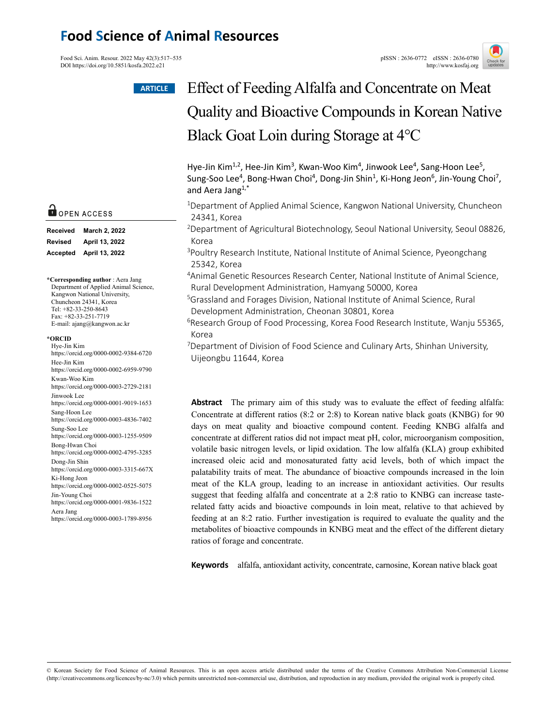# **Food Science of Animal Resources**

Food Sci. Anim. Resour. 2022 May 42(3):517~535<br>
PISSN : 2636-0772 eISSN : 2636-0780<br>
http://www.kosfai.org/ DOI https://doi.org/10.5851/kosfa.2022.e21



# Effect of Feeding Alfalfa and Concentrate on Meat Quality and Bioactive Compounds in Korean Native Black Goat Loin during Storage at 4℃ **ARTICLE**

Hye-Jin Kim<sup>1,2</sup>, Hee-Jin Kim<sup>3</sup>, Kwan-Woo Kim<sup>4</sup>, Jinwook Lee<sup>4</sup>, Sang-Hoon Lee<sup>5</sup>, Sung-Soo Lee<sup>4</sup>, Bong-Hwan Choi<sup>4</sup>, Dong-Jin Shin<sup>1</sup>, Ki-Hong Jeon<sup>6</sup>, Jin-Young Choi<sup>7</sup>, and Aera Jang1,\*

<sup>1</sup>Department of Applied Animal Science, Kangwon National University, Chuncheon 24341, Korea

2Department of Agricultural Biotechnology, Seoul National University, Seoul 08826, Korea

<sup>3</sup>Poultry Research Institute, National Institute of Animal Science, Pyeongchang 25342, Korea

4Animal Genetic Resources Research Center, National Institute of Animal Science, Rural Development Administration, Hamyang 50000, Korea

5Grassland and Forages Division, National Institute of Animal Science, Rural Development Administration, Cheonan 30801, Korea

<sup>6</sup>Research Group of Food Processing, Korea Food Research Institute, Wanju 55365, Korea

<sup>7</sup>Department of Division of Food Science and Culinary Arts, Shinhan University, Uijeongbu 11644, Korea

**Abstract** The primary aim of this study was to evaluate the effect of feeding alfalfa: Concentrate at different ratios (8:2 or 2:8) to Korean native black goats (KNBG) for 90 days on meat quality and bioactive compound content. Feeding KNBG alfalfa and concentrate at different ratios did not impact meat pH, color, microorganism composition, volatile basic nitrogen levels, or lipid oxidation. The low alfalfa (KLA) group exhibited increased oleic acid and monosaturated fatty acid levels, both of which impact the palatability traits of meat. The abundance of bioactive compounds increased in the loin meat of the KLA group, leading to an increase in antioxidant activities. Our results suggest that feeding alfalfa and concentrate at a 2:8 ratio to KNBG can increase tasterelated fatty acids and bioactive compounds in loin meat, relative to that achieved by feeding at an 8:2 ratio. Further investigation is required to evaluate the quality and the metabolites of bioactive compounds in KNBG meat and the effect of the different dietary ratios of forage and concentrate.

**Keywords** alfalfa, antioxidant activity, concentrate, carnosine, Korean native black goat

# O OPEN ACCESS

| <b>Received</b> | March 2, 2022  |
|-----------------|----------------|
| <b>Revised</b>  | April 13, 2022 |
| Accepted        | April 13, 2022 |

**\*Corresponding author** : Aera Jang Department of Applied Animal Science, Kangwon National University, Chuncheon 24341, Korea Tel: +82-33-250-8643 Fax: +82-33-251-7719 E-mail: ajang@kangwon.ac.kr

#### **\*ORCID**

Hye-Jin Kim https://orcid.org/0000-0002-9384-6720 Hee-Jin Kim https://orcid.org/0000-0002-6959-9790 Kwan-Woo Kim https://orcid.org/0000-0003-2729-2181 Jinwook Lee https://orcid.org/0000-0001-9019-1653 Sang-Hoon Lee https://orcid.org/0000-0003-4836-7402 Sung-Soo Lee https://orcid.org/0000-0003-1255-9509 Bong-Hwan Choi https://orcid.org/0000-0002-4795-3285 Dong-Jin Shin https://orcid.org/0000-0003-3315-667X Ki-Hong Jeon https://orcid.org/0000-0002-0525-5075 Jin-Young Choi https://orcid.org/0000-0001-9836-1522 Aera Jang https://orcid.org/0000-0003-1789-8956

© Korean Society for Food Science of Animal Resources. This is an open access article distributed under the terms of the Creative Commons Attribution Non-Commercial License (http://creativecommons.org/licences/by-nc/3.0) which permits unrestricted non-commercial use, distribution, and reproduction in any medium, provided the original work is properly cited.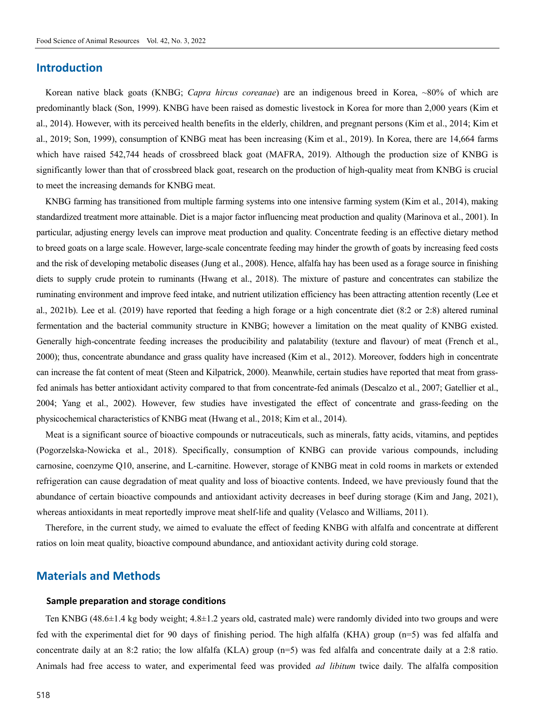### **Introduction**

Korean native black goats (KNBG; *Capra hircus coreanae*) are an indigenous breed in Korea, ~80% of which are predominantly black (Son, 1999). KNBG have been raised as domestic livestock in Korea for more than 2,000 years (Kim et al., 2014). However, with its perceived health benefits in the elderly, children, and pregnant persons (Kim et al., 2014; Kim et al., 2019; Son, 1999), consumption of KNBG meat has been increasing (Kim et al., 2019). In Korea, there are 14,664 farms which have raised 542,744 heads of crossbreed black goat (MAFRA, 2019). Although the production size of KNBG is significantly lower than that of crossbreed black goat, research on the production of high-quality meat from KNBG is crucial to meet the increasing demands for KNBG meat.

KNBG farming has transitioned from multiple farming systems into one intensive farming system (Kim et al., 2014), making standardized treatment more attainable. Diet is a major factor influencing meat production and quality (Marinova et al., 2001). In particular, adjusting energy levels can improve meat production and quality. Concentrate feeding is an effective dietary method to breed goats on a large scale. However, large-scale concentrate feeding may hinder the growth of goats by increasing feed costs and the risk of developing metabolic diseases (Jung et al., 2008). Hence, alfalfa hay has been used as a forage source in finishing diets to supply crude protein to ruminants (Hwang et al., 2018). The mixture of pasture and concentrates can stabilize the ruminating environment and improve feed intake, and nutrient utilization efficiency has been attracting attention recently (Lee et al., 2021b). Lee et al. (2019) have reported that feeding a high forage or a high concentrate diet (8:2 or 2:8) altered ruminal fermentation and the bacterial community structure in KNBG; however a limitation on the meat quality of KNBG existed. Generally high-concentrate feeding increases the producibility and palatability (texture and flavour) of meat (French et al., 2000); thus, concentrate abundance and grass quality have increased (Kim et al., 2012). Moreover, fodders high in concentrate can increase the fat content of meat (Steen and Kilpatrick, 2000). Meanwhile, certain studies have reported that meat from grassfed animals has better antioxidant activity compared to that from concentrate-fed animals (Descalzo et al., 2007; Gatellier et al., 2004; Yang et al., 2002). However, few studies have investigated the effect of concentrate and grass-feeding on the physicochemical characteristics of KNBG meat (Hwang et al., 2018; Kim et al., 2014).

Meat is a significant source of bioactive compounds or nutraceuticals, such as minerals, fatty acids, vitamins, and peptides (Pogorzelska-Nowicka et al., 2018). Specifically, consumption of KNBG can provide various compounds, including carnosine, coenzyme Q10, anserine, and L-carnitine. However, storage of KNBG meat in cold rooms in markets or extended refrigeration can cause degradation of meat quality and loss of bioactive contents. Indeed, we have previously found that the abundance of certain bioactive compounds and antioxidant activity decreases in beef during storage (Kim and Jang, 2021), whereas antioxidants in meat reportedly improve meat shelf-life and quality (Velasco and Williams, 2011).

Therefore, in the current study, we aimed to evaluate the effect of feeding KNBG with alfalfa and concentrate at different ratios on loin meat quality, bioactive compound abundance, and antioxidant activity during cold storage.

# **Materials and Methods**

#### **Sample preparation and storage conditions**

Ten KNBG (48.6±1.4 kg body weight; 4.8±1.2 years old, castrated male) were randomly divided into two groups and were fed with the experimental diet for 90 days of finishing period. The high alfalfa (KHA) group (n=5) was fed alfalfa and concentrate daily at an 8:2 ratio; the low alfalfa (KLA) group  $(n=5)$  was fed alfalfa and concentrate daily at a 2:8 ratio. Animals had free access to water, and experimental feed was provided *ad libitum* twice daily. The alfalfa composition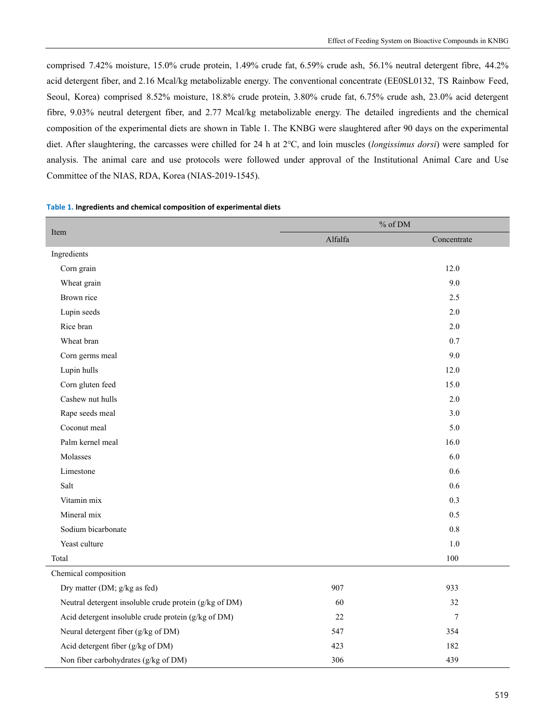comprised 7.42% moisture, 15.0% crude protein, 1.49% crude fat, 6.59% crude ash, 56.1% neutral detergent fibre, 44.2% acid detergent fiber, and 2.16 Mcal/kg metabolizable energy. The conventional concentrate (EE0SL0132, TS Rainbow Feed, Seoul, Korea) comprised 8.52% moisture, 18.8% crude protein, 3.80% crude fat, 6.75% crude ash, 23.0% acid detergent fibre, 9.03% neutral detergent fiber, and 2.77 Mcal/kg metabolizable energy. The detailed ingredients and the chemical composition of the experimental diets are shown in Table 1. The KNBG were slaughtered after 90 days on the experimental diet. After slaughtering, the carcasses were chilled for 24 h at 2℃, and loin muscles (*longissimus dorsi*) were sampled for analysis. The animal care and use protocols were followed under approval of the Institutional Animal Care and Use Committee of the NIAS, RDA, Korea (NIAS-2019-1545).

#### **Table 1. Ingredients and chemical composition of experimental diets**

|                                                        | $\%$ of DM |             |  |  |
|--------------------------------------------------------|------------|-------------|--|--|
| Item                                                   | Alfalfa    | Concentrate |  |  |
| Ingredients                                            |            |             |  |  |
| Corn grain                                             |            | 12.0        |  |  |
| Wheat grain                                            |            | 9.0         |  |  |
| Brown rice                                             |            | 2.5         |  |  |
| Lupin seeds                                            |            | 2.0         |  |  |
| Rice bran                                              |            | 2.0         |  |  |
| Wheat bran                                             |            | 0.7         |  |  |
| Corn germs meal                                        |            | 9.0         |  |  |
| Lupin hulls                                            |            | 12.0        |  |  |
| Corn gluten feed                                       |            | 15.0        |  |  |
| Cashew nut hulls                                       |            | 2.0         |  |  |
| Rape seeds meal                                        |            | 3.0         |  |  |
| Coconut meal                                           |            | 5.0         |  |  |
| Palm kernel meal                                       |            | 16.0        |  |  |
| Molasses                                               |            | 6.0         |  |  |
| Limestone                                              |            | 0.6         |  |  |
| Salt                                                   |            | 0.6         |  |  |
| Vitamin mix                                            |            | 0.3         |  |  |
| Mineral mix                                            |            | 0.5         |  |  |
| Sodium bicarbonate                                     |            | 0.8         |  |  |
| Yeast culture                                          |            | 1.0         |  |  |
| Total                                                  |            | 100         |  |  |
| Chemical composition                                   |            |             |  |  |
| Dry matter (DM; g/kg as fed)                           | 907        | 933         |  |  |
| Neutral detergent insoluble crude protein (g/kg of DM) | 60         | 32          |  |  |
| Acid detergent insoluble crude protein (g/kg of DM)    | 22         | $\tau$      |  |  |
| Neural detergent fiber (g/kg of DM)                    | 547        | 354         |  |  |
| Acid detergent fiber (g/kg of DM)                      | 423        | 182         |  |  |
| Non fiber carbohydrates (g/kg of DM)                   | 306        | 439         |  |  |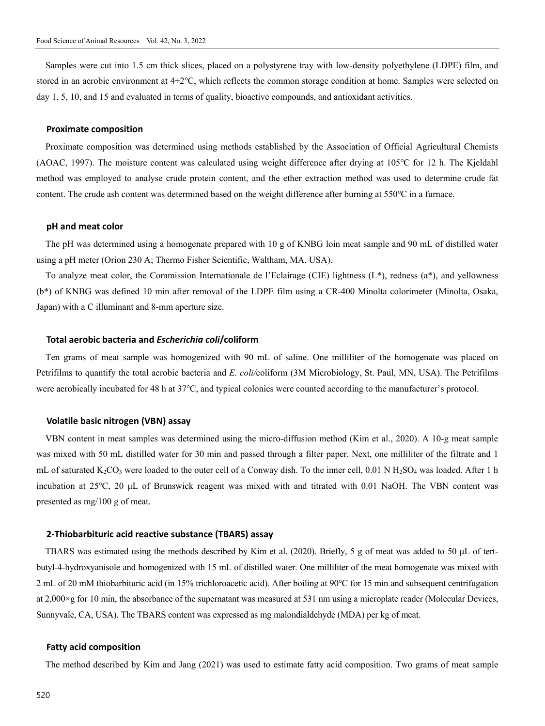Samples were cut into 1.5 cm thick slices, placed on a polystyrene tray with low-density polyethylene (LDPE) film, and stored in an aerobic environment at 4±2℃, which reflects the common storage condition at home. Samples were selected on day 1, 5, 10, and 15 and evaluated in terms of quality, bioactive compounds, and antioxidant activities.

#### **Proximate composition**

Proximate composition was determined using methods established by the Association of Official Agricultural Chemists (AOAC, 1997). The moisture content was calculated using weight difference after drying at 105℃ for 12 h. The Kjeldahl method was employed to analyse crude protein content, and the ether extraction method was used to determine crude fat content. The crude ash content was determined based on the weight difference after burning at 550℃ in a furnace.

#### **pH and meat color**

The pH was determined using a homogenate prepared with 10 g of KNBG loin meat sample and 90 mL of distilled water using a pH meter (Orion 230 A; Thermo Fisher Scientific, Waltham, MA, USA).

To analyze meat color, the Commission Internationale de l'Eclairage (CIE) lightness (L\*), redness (a\*), and yellowness (b\*) of KNBG was defined 10 min after removal of the LDPE film using a CR-400 Minolta colorimeter (Minolta, Osaka, Japan) with a C illuminant and 8-mm aperture size.

#### **Total aerobic bacteria and** *Escherichia coli***/coliform**

Ten grams of meat sample was homogenized with 90 mL of saline. One milliliter of the homogenate was placed on Petrifilms to quantify the total aerobic bacteria and *E. coli/*coliform (3M Microbiology, St. Paul, MN, USA). The Petrifilms were aerobically incubated for 48 h at 37℃, and typical colonies were counted according to the manufacturer's protocol.

#### **Volatile basic nitrogen (VBN) assay**

VBN content in meat samples was determined using the micro-diffusion method (Kim et al., 2020). A 10-g meat sample was mixed with 50 mL distilled water for 30 min and passed through a filter paper. Next, one milliliter of the filtrate and 1 mL of saturated  $K_2CO_3$  were loaded to the outer cell of a Conway dish. To the inner cell, 0.01 N H<sub>2</sub>SO<sub>4</sub> was loaded. After 1 h incubation at 25℃, 20 μL of Brunswick reagent was mixed with and titrated with 0.01 NaOH. The VBN content was presented as mg/100 g of meat.

#### **2-Thiobarbituric acid reactive substance (TBARS) assay**

TBARS was estimated using the methods described by Kim et al. (2020). Briefly, 5 g of meat was added to 50 μL of tertbutyl-4-hydroxyanisole and homogenized with 15 mL of distilled water. One milliliter of the meat homogenate was mixed with 2 mL of 20 mM thiobarbituric acid (in 15% trichloroacetic acid). After boiling at 90℃ for 15 min and subsequent centrifugation at 2,000×g for 10 min, the absorbance of the supernatant was measured at 531 nm using a microplate reader (Molecular Devices, Sunnyvale, CA, USA). The TBARS content was expressed as mg malondialdehyde (MDA) per kg of meat.

#### **Fatty acid composition**

The method described by Kim and Jang (2021) was used to estimate fatty acid composition. Two grams of meat sample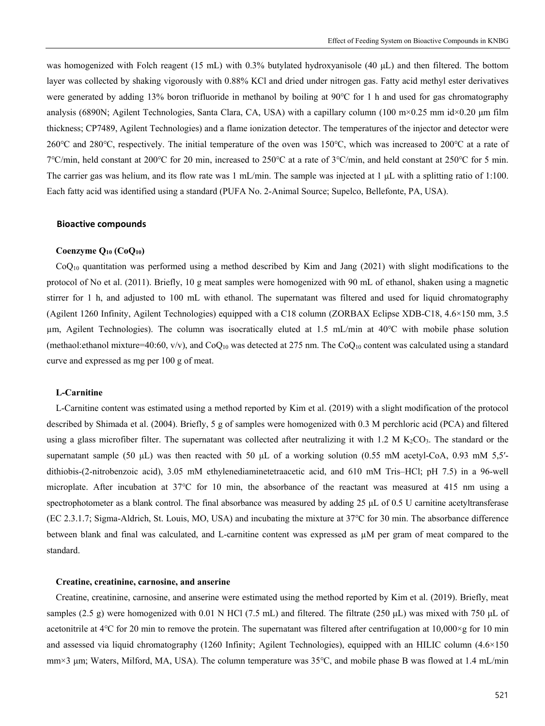was homogenized with Folch reagent (15 mL) with 0.3% butylated hydroxyanisole (40 μL) and then filtered. The bottom layer was collected by shaking vigorously with 0.88% KCl and dried under nitrogen gas. Fatty acid methyl ester derivatives were generated by adding 13% boron trifluoride in methanol by boiling at 90℃ for 1 h and used for gas chromatography analysis (6890N; Agilent Technologies, Santa Clara, CA, USA) with a capillary column (100 m×0.25 mm id×0.20 µm film thickness; CP7489, Agilent Technologies) and a flame ionization detector. The temperatures of the injector and detector were 260℃ and 280℃, respectively. The initial temperature of the oven was 150℃, which was increased to 200℃ at a rate of 7℃/min, held constant at 200℃ for 20 min, increased to 250℃ at a rate of 3℃/min, and held constant at 250℃ for 5 min. The carrier gas was helium, and its flow rate was 1 mL/min. The sample was injected at 1 μL with a splitting ratio of 1:100. Each fatty acid was identified using a standard (PUFA No. 2-Animal Source; Supelco, Bellefonte, PA, USA).

#### **Bioactive compounds**

#### **Coenzyme Q10 (CoQ10)**

 $CoQ<sub>10</sub>$  quantitation was performed using a method described by Kim and Jang (2021) with slight modifications to the protocol of No et al. (2011). Briefly, 10 g meat samples were homogenized with 90 mL of ethanol, shaken using a magnetic stirrer for 1 h, and adjusted to 100 mL with ethanol. The supernatant was filtered and used for liquid chromatography (Agilent 1260 Infinity, Agilent Technologies) equipped with a C18 column (ZORBAX Eclipse XDB-C18, 4.6×150 mm, 3.5 µm, Agilent Technologies). The column was isocratically eluted at 1.5 mL/min at 40℃ with mobile phase solution (methaol: ethanol mixture=40:60, v/v), and CoQ<sub>10</sub> was detected at 275 nm. The CoQ<sub>10</sub> content was calculated using a standard curve and expressed as mg per 100 g of meat.

#### **L-Carnitine**

L-Carnitine content was estimated using a method reported by Kim et al. (2019) with a slight modification of the protocol described by Shimada et al. (2004). Briefly, 5 g of samples were homogenized with 0.3 M perchloric acid (PCA) and filtered using a glass microfiber filter. The supernatant was collected after neutralizing it with 1.2 M  $K_2CO_3$ . The standard or the supernatant sample (50  $\mu$ L) was then reacted with 50  $\mu$ L of a working solution (0.55 mM acetyl-CoA, 0.93 mM 5,5′dithiobis-(2-nitrobenzoic acid), 3.05 mM ethylenediaminetetraacetic acid, and 610 mM Tris–HCl; pH 7.5) in a 96-well microplate. After incubation at 37℃ for 10 min, the absorbance of the reactant was measured at 415 nm using a spectrophotometer as a blank control. The final absorbance was measured by adding 25 μL of 0.5 U carnitine acetyltransferase (EC 2.3.1.7; Sigma-Aldrich, St. Louis, MO, USA) and incubating the mixture at 37℃ for 30 min. The absorbance difference between blank and final was calculated, and L-carnitine content was expressed as µM per gram of meat compared to the standard.

#### **Creatine, creatinine, carnosine, and anserine**

Creatine, creatinine, carnosine, and anserine were estimated using the method reported by Kim et al. (2019). Briefly, meat samples (2.5 g) were homogenized with 0.01 N HCl (7.5 mL) and filtered. The filtrate (250  $\mu$ L) was mixed with 750  $\mu$ L of acetonitrile at  $4^{\circ}$ C for 20 min to remove the protein. The supernatant was filtered after centrifugation at  $10,000 \times g$  for 10 min and assessed via liquid chromatography (1260 Infinity; Agilent Technologies), equipped with an HILIC column (4.6×150 mm×3 μm; Waters, Milford, MA, USA). The column temperature was 35℃, and mobile phase B was flowed at 1.4 mL/min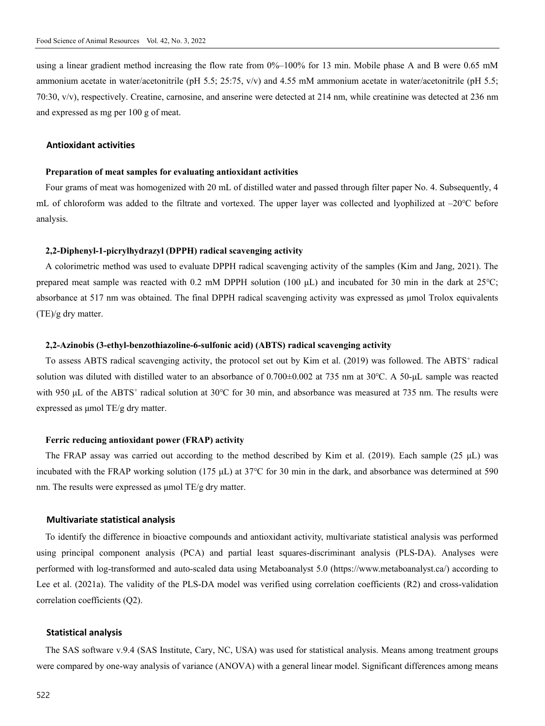using a linear gradient method increasing the flow rate from 0%–100% for 13 min. Mobile phase A and B were 0.65 mM ammonium acetate in water/acetonitrile (pH 5.5; 25:75, v/v) and 4.55 mM ammonium acetate in water/acetonitrile (pH 5.5; 70:30, v/v), respectively. Creatine, carnosine, and anserine were detected at 214 nm, while creatinine was detected at 236 nm and expressed as mg per 100 g of meat.

#### **Antioxidant activities**

#### **Preparation of meat samples for evaluating antioxidant activities**

Four grams of meat was homogenized with 20 mL of distilled water and passed through filter paper No. 4. Subsequently, 4 mL of chloroform was added to the filtrate and vortexed. The upper layer was collected and lyophilized at –20℃ before analysis.

#### **2,2-Diphenyl-1-picrylhydrazyl (DPPH) radical scavenging activity**

A colorimetric method was used to evaluate DPPH radical scavenging activity of the samples (Kim and Jang, 2021). The prepared meat sample was reacted with 0.2 mM DPPH solution (100 μL) and incubated for 30 min in the dark at 25℃; absorbance at 517 nm was obtained. The final DPPH radical scavenging activity was expressed as μmol Trolox equivalents (TE)/g dry matter.

#### **2,2-Azinobis (3-ethyl-benzothiazoline-6-sulfonic acid) (ABTS) radical scavenging activity**

To assess ABTS radical scavenging activity, the protocol set out by Kim et al. (2019) was followed. The ABTS<sup>+</sup> radical solution was diluted with distilled water to an absorbance of 0.700±0.002 at 735 nm at 30℃. A 50-μL sample was reacted with 950 µL of the ABTS<sup>+</sup> radical solution at 30°C for 30 min, and absorbance was measured at 735 nm. The results were expressed as μmol TE/g dry matter.

#### **Ferric reducing antioxidant power (FRAP) activity**

The FRAP assay was carried out according to the method described by Kim et al. (2019). Each sample (25  $\mu$ L) was incubated with the FRAP working solution (175 μL) at 37℃ for 30 min in the dark, and absorbance was determined at 590 nm. The results were expressed as μmol TE/g dry matter.

#### **Multivariate statistical analysis**

To identify the difference in bioactive compounds and antioxidant activity, multivariate statistical analysis was performed using principal component analysis (PCA) and partial least squares-discriminant analysis (PLS-DA). Analyses were performed with log-transformed and auto-scaled data using Metaboanalyst 5.0 (https://www.metaboanalyst.ca/) according to Lee et al. (2021a). The validity of the PLS-DA model was verified using correlation coefficients (R2) and cross-validation correlation coefficients (Q2).

#### **Statistical analysis**

The SAS software v.9.4 (SAS Institute, Cary, NC, USA) was used for statistical analysis. Means among treatment groups were compared by one-way analysis of variance (ANOVA) with a general linear model. Significant differences among means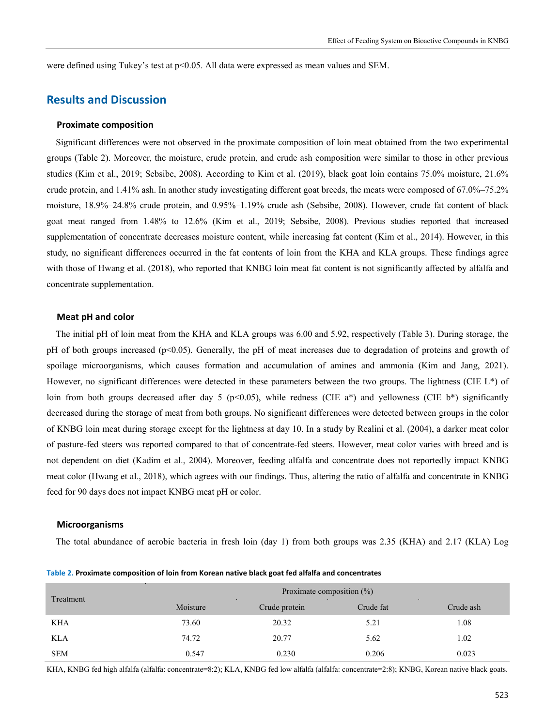were defined using Tukey's test at  $p<0.05$ . All data were expressed as mean values and SEM.

# **Results and Discussion**

#### **Proximate composition**

Significant differences were not observed in the proximate composition of loin meat obtained from the two experimental groups (Table 2). Moreover, the moisture, crude protein, and crude ash composition were similar to those in other previous studies (Kim et al., 2019; Sebsibe, 2008). According to Kim et al. (2019), black goat loin contains 75.0% moisture, 21.6% crude protein, and 1.41% ash. In another study investigating different goat breeds, the meats were composed of 67.0%–75.2% moisture, 18.9%–24.8% crude protein, and 0.95%–1.19% crude ash (Sebsibe, 2008). However, crude fat content of black goat meat ranged from 1.48% to 12.6% (Kim et al., 2019; Sebsibe, 2008). Previous studies reported that increased supplementation of concentrate decreases moisture content, while increasing fat content (Kim et al., 2014). However, in this study, no significant differences occurred in the fat contents of loin from the KHA and KLA groups. These findings agree with those of Hwang et al. (2018), who reported that KNBG loin meat fat content is not significantly affected by alfalfa and concentrate supplementation.

#### **Meat pH and color**

The initial pH of loin meat from the KHA and KLA groups was 6.00 and 5.92, respectively (Table 3). During storage, the pH of both groups increased ( $p<0.05$ ). Generally, the pH of meat increases due to degradation of proteins and growth of spoilage microorganisms, which causes formation and accumulation of amines and ammonia (Kim and Jang, 2021). However, no significant differences were detected in these parameters between the two groups. The lightness (CIE L\*) of loin from both groups decreased after day 5 (p<0.05), while redness (CIE a\*) and yellowness (CIE b\*) significantly decreased during the storage of meat from both groups. No significant differences were detected between groups in the color of KNBG loin meat during storage except for the lightness at day 10. In a study by Realini et al. (2004), a darker meat color of pasture-fed steers was reported compared to that of concentrate-fed steers. However, meat color varies with breed and is not dependent on diet (Kadim et al., 2004). Moreover, feeding alfalfa and concentrate does not reportedly impact KNBG meat color (Hwang et al., 2018), which agrees with our findings. Thus, altering the ratio of alfalfa and concentrate in KNBG feed for 90 days does not impact KNBG meat pH or color.

#### **Microorganisms**

The total abundance of aerobic bacteria in fresh loin (day 1) from both groups was 2.35 (KHA) and 2.17 (KLA) Log

| Treatment  | Proximate composition $(\%)$ |               |           |           |  |  |
|------------|------------------------------|---------------|-----------|-----------|--|--|
|            | Moisture                     | Crude protein | Crude fat | Crude ash |  |  |
| <b>KHA</b> | 73.60                        | 20.32         | 5.21      | 1.08      |  |  |
| <b>KLA</b> | 74.72                        | 20.77         | 5.62      | 1.02      |  |  |
| <b>SEM</b> | 0.547                        | 0.230         | 0.206     | 0.023     |  |  |

**Table 2. Proximate composition of loin from Korean native black goat fed alfalfa and concentrates**

KHA, KNBG fed high alfalfa (alfalfa: concentrate=8:2); KLA, KNBG fed low alfalfa (alfalfa: concentrate=2:8); KNBG, Korean native black goats.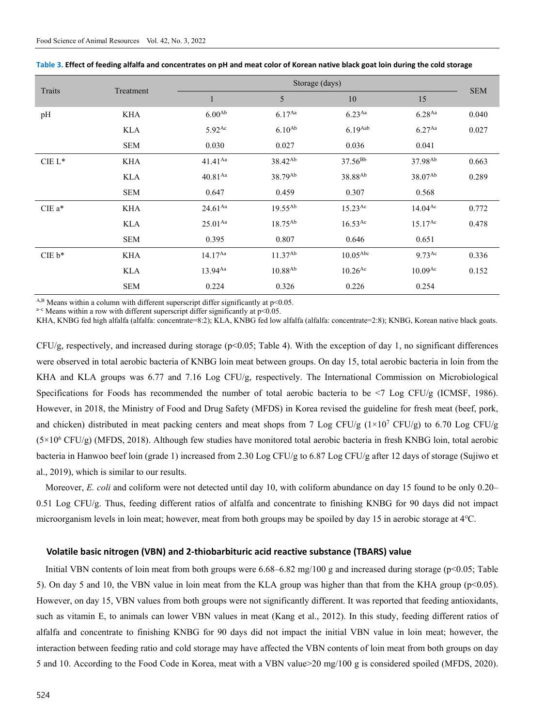|          |            | Storage (days)      |                     |                       |                       |            |  |  |
|----------|------------|---------------------|---------------------|-----------------------|-----------------------|------------|--|--|
| Traits   | Treatment  | $\mathbf{1}$        | 5                   | 10                    | 15                    | <b>SEM</b> |  |  |
| pH       | <b>KHA</b> | $6.00^{Ab}$         | $6.17^{Aa}$         | $6.23^{Aa}$           | $6.28$ <sup>Aa</sup>  | 0.040      |  |  |
|          | <b>KLA</b> | 5.92 <sup>Ac</sup>  | $6.10^{Ab}$         | $6.19$ Aab            | $6.27$ <sup>Aa</sup>  | 0.027      |  |  |
|          | <b>SEM</b> | 0.030               | 0.027               | 0.036                 | 0.041                 |            |  |  |
| $CIE L*$ | <b>KHA</b> | $41.41^{Aa}$        | 38.42 <sup>Ab</sup> | $37.56^{Bb}$          | 37.98 <sup>Ab</sup>   | 0.663      |  |  |
|          | <b>KLA</b> | 40.81 <sup>Aa</sup> | 38.79 <sup>Ab</sup> | 38.88 <sup>Ab</sup>   | 38.07 <sup>Ab</sup>   | 0.289      |  |  |
|          | <b>SEM</b> | 0.647               | 0.459               | 0.307                 | 0.568                 |            |  |  |
| $CIEa*$  | <b>KHA</b> | $24.61^{Aa}$        | $19.55^{Ab}$        | $15.23^{Ac}$          | $14.04^{Ac}$          | 0.772      |  |  |
|          | <b>KLA</b> | $25.01^{Aa}$        | 18.75 <sup>Ab</sup> | $16.53$ <sup>Ac</sup> | $15.17^{Ac}$          | 0.478      |  |  |
|          | <b>SEM</b> | 0.395               | 0.807               | 0.646                 | 0.651                 |            |  |  |
| $CIE b*$ | <b>KHA</b> | $14.17^{Aa}$        | $11.37^{Ab}$        | 10.05 <sup>Abc</sup>  | $9.73$ <sup>Ac</sup>  | 0.336      |  |  |
|          | KLA        | $13.94^{Aa}$        | $10.88^{Ab}$        | $10.26$ <sup>Ac</sup> | $10.09$ <sup>Ac</sup> | 0.152      |  |  |
|          | <b>SEM</b> | 0.224               | 0.326               | 0.226                 | 0.254                 |            |  |  |

**Table 3. Effect of feeding alfalfa and concentrates on pH and meat color of Korean native black goat loin during the cold storage**

<sup>A,B</sup> Means within a column with different superscript differ significantly at p<0.05. <sup>a-c</sup> Means within a row with different superscript differ significantly at p<0.05.

KHA, KNBG fed high alfalfa (alfalfa: concentrate=8:2); KLA, KNBG fed low alfalfa (alfalfa: concentrate=2:8); KNBG, Korean native black goats.

 $CFU/g$ , respectively, and increased during storage ( $p<0.05$ ; Table 4). With the exception of day 1, no significant differences were observed in total aerobic bacteria of KNBG loin meat between groups. On day 15, total aerobic bacteria in loin from the KHA and KLA groups was 6.77 and 7.16 Log CFU/g, respectively. The International Commission on Microbiological Specifications for Foods has recommended the number of total aerobic bacteria to be <7 Log CFU/g (ICMSF, 1986). However, in 2018, the Ministry of Food and Drug Safety (MFDS) in Korea revised the guideline for fresh meat (beef, pork, and chicken) distributed in meat packing centers and meat shops from 7 Log CFU/g  $(1\times10^7 \text{ CFU/g})$  to 6.70 Log CFU/g (5×106 CFU/g) (MFDS, 2018). Although few studies have monitored total aerobic bacteria in fresh KNBG loin, total aerobic bacteria in Hanwoo beef loin (grade 1) increased from 2.30 Log CFU/g to 6.87 Log CFU/g after 12 days of storage (Sujiwo et al., 2019), which is similar to our results.

Moreover, *E. coli* and coliform were not detected until day 10, with coliform abundance on day 15 found to be only 0.20– 0.51 Log CFU/g. Thus, feeding different ratios of alfalfa and concentrate to finishing KNBG for 90 days did not impact microorganism levels in loin meat; however, meat from both groups may be spoiled by day 15 in aerobic storage at 4℃.

#### **Volatile basic nitrogen (VBN) and 2-thiobarbituric acid reactive substance (TBARS) value**

Initial VBN contents of loin meat from both groups were  $6.68-6.82$  mg/100 g and increased during storage (p<0.05; Table 5). On day 5 and 10, the VBN value in loin meat from the KLA group was higher than that from the KHA group ( $p<0.05$ ). However, on day 15, VBN values from both groups were not significantly different. It was reported that feeding antioxidants, such as vitamin E, to animals can lower VBN values in meat (Kang et al., 2012). In this study, feeding different ratios of alfalfa and concentrate to finishing KNBG for 90 days did not impact the initial VBN value in loin meat; however, the interaction between feeding ratio and cold storage may have affected the VBN contents of loin meat from both groups on day 5 and 10. According to the Food Code in Korea, meat with a VBN value>20 mg/100 g is considered spoiled (MFDS, 2020).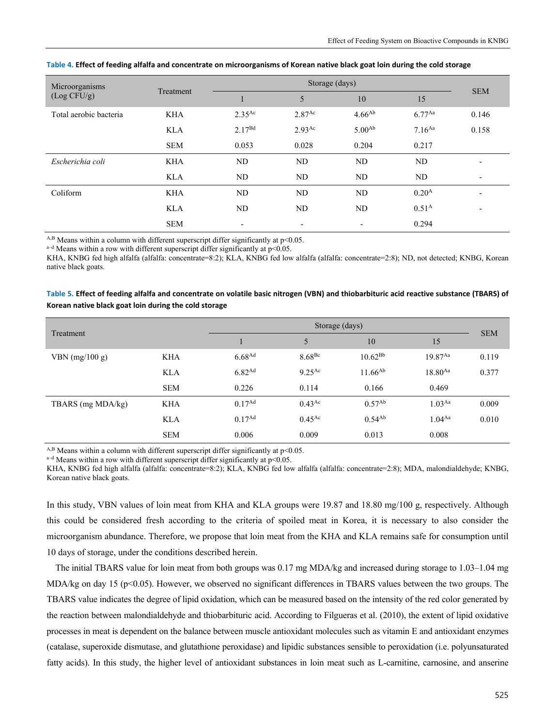| Microorganisms         | Treatment  |                      | Storage (days)           |                          |                   |            |  |
|------------------------|------------|----------------------|--------------------------|--------------------------|-------------------|------------|--|
| (Log CFU/g)            |            |                      | 5                        | 10                       | 15                | <b>SEM</b> |  |
| Total aerobic bacteria | <b>KHA</b> | $2.35$ <sup>Ac</sup> | 2.87 <sup>Ac</sup>       | $4.66^{Ab}$              | $6.77^{Aa}$       | 0.146      |  |
|                        | <b>KLA</b> | $2.17^{Bd}$          | $2.93$ <sup>Ac</sup>     | 5.00 <sup>Ab</sup>       | $7.16^{Aa}$       | 0.158      |  |
|                        | <b>SEM</b> | 0.053                | 0.028                    | 0.204                    | 0.217             |            |  |
| Escherichia coli       | <b>KHA</b> | ND                   | ND                       | N <sub>D</sub>           | N <sub>D</sub>    |            |  |
|                        | <b>KLA</b> | ND                   | ND                       | N <sub>D</sub>           | ND                | ٠          |  |
| Coliform               | <b>KHA</b> | N <sub>D</sub>       | ND                       | <b>ND</b>                | 0.20 <sup>A</sup> | -          |  |
|                        | <b>KLA</b> | ND                   | ND                       | ND                       | 0.51 <sup>A</sup> | ٠          |  |
|                        | <b>SEM</b> | $\qquad \qquad$      | $\overline{\phantom{0}}$ | $\overline{\phantom{a}}$ | 0.294             |            |  |

#### **Table 4. Effect of feeding alfalfa and concentrate on microorganisms of Korean native black goat loin during the cold storage**

<sup>A,B</sup> Means within a column with different superscript differ significantly at p<0.05.  $a-d$  Means within a row with different superscript differ significantly at p<0.05.

KHA, KNBG fed high alfalfa (alfalfa: concentrate=8:2); KLA, KNBG fed low alfalfa (alfalfa: concentrate=2:8); ND, not detected; KNBG, Korean native black goats.

#### **Table 5. Effect of feeding alfalfa and concentrate on volatile basic nitrogen (VBN) and thiobarbituric acid reactive substance (TBARS) of Korean native black goat loin during the cold storage**

| Treatment         |            |                    | Storage (days)     |              |              |            |  |  |
|-------------------|------------|--------------------|--------------------|--------------|--------------|------------|--|--|
|                   |            |                    | 5                  | 10           | 15           | <b>SEM</b> |  |  |
| VBN $(mg/100 g)$  | <b>KHA</b> | 6.68 <sup>Ad</sup> | 8.68 <sup>Be</sup> | $10.62^{Bb}$ | $19.87^{Aa}$ | 0.119      |  |  |
|                   | <b>KLA</b> | 6.82 <sup>Ad</sup> | $9.25^{Ac}$        | $11.66^{Ab}$ | $18.80^{Aa}$ | 0.377      |  |  |
|                   | <b>SEM</b> | 0.226              | 0.114              | 0.166        | 0.469        |            |  |  |
| TBARS (mg MDA/kg) | <b>KHA</b> | 0.17 <sup>Ad</sup> | $0.43^{Ac}$        | $0.57^{Ab}$  | $1.03^{Aa}$  | 0.009      |  |  |
|                   | <b>KLA</b> | $0.17^{Ad}$        | $0.45^{\text{Ac}}$ | $0.54^{Ab}$  | $1.04^{Aa}$  | 0.010      |  |  |
|                   | <b>SEM</b> | 0.006              | 0.009              | 0.013        | 0.008        |            |  |  |

<sup>A,B</sup> Means within a column with different superscript differ significantly at p<0.05.  $a-d$  Means within a row with different superscript differ significantly at p<0.05.

KHA, KNBG fed high alfalfa (alfalfa: concentrate=8:2); KLA, KNBG fed low alfalfa (alfalfa: concentrate=2:8); MDA, malondialdehyde; KNBG, Korean native black goats.

In this study, VBN values of loin meat from KHA and KLA groups were 19.87 and 18.80 mg/100 g, respectively. Although this could be considered fresh according to the criteria of spoiled meat in Korea, it is necessary to also consider the microorganism abundance. Therefore, we propose that loin meat from the KHA and KLA remains safe for consumption until 10 days of storage, under the conditions described herein.

The initial TBARS value for loin meat from both groups was 0.17 mg MDA/kg and increased during storage to 1.03–1.04 mg MDA/kg on day 15 (p<0.05). However, we observed no significant differences in TBARS values between the two groups. The TBARS value indicates the degree of lipid oxidation, which can be measured based on the intensity of the red color generated by the reaction between malondialdehyde and thiobarbituric acid. According to Filgueras et al. (2010), the extent of lipid oxidative processes in meat is dependent on the balance between muscle antioxidant molecules such as vitamin E and antioxidant enzymes (catalase, superoxide dismutase, and glutathione peroxidase) and lipidic substances sensible to peroxidation (i.e. polyunsaturated fatty acids). In this study, the higher level of antioxidant substances in loin meat such as L-carnitine, carnosine, and anserine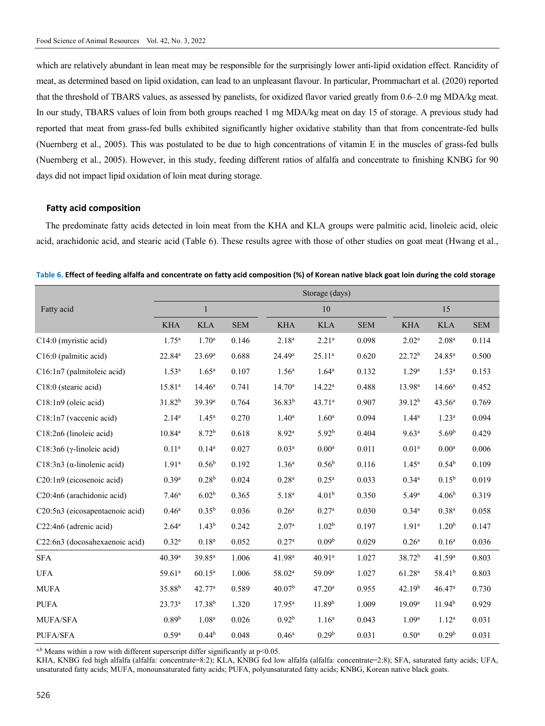which are relatively abundant in lean meat may be responsible for the surprisingly lower anti-lipid oxidation effect. Rancidity of meat, as determined based on lipid oxidation, can lead to an unpleasant flavour. In particular, Prommachart et al. (2020) reported that the threshold of TBARS values, as assessed by panelists, for oxidized flavor varied greatly from 0.6–2.0 mg MDA/kg meat. In our study, TBARS values of loin from both groups reached 1 mg MDA/kg meat on day 15 of storage. A previous study had reported that meat from grass-fed bulls exhibited significantly higher oxidative stability than that from concentrate-fed bulls (Nuernberg et al., 2005). This was postulated to be due to high concentrations of vitamin E in the muscles of grass-fed bulls (Nuernberg et al., 2005). However, in this study, feeding different ratios of alfalfa and concentrate to finishing KNBG for 90 days did not impact lipid oxidation of loin meat during storage.

#### **Fatty acid composition**

The predominate fatty acids detected in loin meat from the KHA and KLA groups were palmitic acid, linoleic acid, oleic acid, arachidonic acid, and stearic acid (Table 6). These results agree with those of other studies on goat meat (Hwang et al.,

**Table 6. Effect of feeding alfalfa and concentrate on fatty acid composition (%) of Korean native black goat loin during the cold storage**

|                                     |                     | Storage (days)     |            |                    |                    |            |                    |                    |            |
|-------------------------------------|---------------------|--------------------|------------|--------------------|--------------------|------------|--------------------|--------------------|------------|
| Fatty acid                          |                     | $\mathbf{1}$       |            |                    | 10                 |            |                    | 15                 |            |
|                                     | <b>KHA</b>          | <b>KLA</b>         | <b>SEM</b> | <b>KHA</b>         | <b>KLA</b>         | <b>SEM</b> | <b>KHA</b>         | <b>KLA</b>         | <b>SEM</b> |
| C14:0 (myristic acid)               | $1.75^{\rm a}$      | 1.70 <sup>a</sup>  | 0.146      | $2.18^{a}$         | 2.21 <sup>a</sup>  | 0.098      | $2.02^{\rm a}$     | 2.08 <sup>a</sup>  | 0.114      |
| C16:0 (palmitic acid)               | $22.84^a$           | $23.69^{\rm a}$    | 0.688      | 24.49 <sup>a</sup> | $25.11^{a}$        | 0.620      | 22.72 <sup>b</sup> | $24.85^{a}$        | 0.500      |
| C16:1n7 (palmitoleic acid)          | $1.53^{\rm a}$      | $1.65^{\rm a}$     | 0.107      | 1.56 <sup>a</sup>  | $1.64^{\rm a}$     | 0.132      | 1.29 <sup>a</sup>  | 1.53 <sup>a</sup>  | 0.153      |
| C18:0 (stearic acid)                | $15.81^{a}$         | $14.46^{\rm a}$    | 0.741      | $14.70^{\rm a}$    | $14.22^a$          | 0.488      | 13.98 <sup>a</sup> | $14.66^{\circ}$    | 0.452      |
| C18:1n9 (oleic acid)                | 31.82 <sup>b</sup>  | 39.39 <sup>a</sup> | 0.764      | 36.83 <sup>b</sup> | 43.71 <sup>a</sup> | 0.907      | 39.12 <sup>b</sup> | 43.56 <sup>a</sup> | 0.769      |
| C18:1n7 (vaccenic acid)             | $2.14^{a}$          | $1.45^{\rm a}$     | 0.270      | 1.40 <sup>a</sup>  | 1.60 <sup>a</sup>  | 0.094      | $1.44^a$           | 1.23 <sup>a</sup>  | 0.094      |
| C18:2n6 (linoleic acid)             | $10.84^{\rm a}$     | 8.72 <sup>b</sup>  | 0.618      | 8.92 <sup>a</sup>  | 5.92 <sup>b</sup>  | 0.404      | 9.63 <sup>a</sup>  | 5.69 <sup>b</sup>  | 0.429      |
| C18:3n6 ( $\gamma$ -linoleic acid)  | $0.11^{a}$          | $0.14^{a}$         | 0.027      | 0.03 <sup>a</sup>  | 0.00 <sup>a</sup>  | 0.011      | 0.01 <sup>a</sup>  | 0.00 <sup>a</sup>  | 0.006      |
| C18:3n3 ( $\alpha$ -linolenic acid) | 1.91 <sup>a</sup>   | 0.56 <sup>b</sup>  | 0.192      | 1.36 <sup>a</sup>  | 0.56 <sup>b</sup>  | 0.116      | $1.45^{\rm a}$     | 0.54 <sup>b</sup>  | 0.109      |
| C20:1n9 (eicosenoic acid)           | 0.39 <sup>a</sup>   | 0.28 <sup>b</sup>  | 0.024      | 0.28 <sup>a</sup>  | 0.25 <sup>a</sup>  | 0.033      | $0.34^{a}$         | $0.15^{b}$         | 0.019      |
| C20:4n6 (arachidonic acid)          | 7.46 <sup>a</sup>   | 6.02 <sup>b</sup>  | 0.365      | $5.18^{a}$         | 4.01 <sup>b</sup>  | 0.350      | 5.49a              | 4.06 <sup>b</sup>  | 0.319      |
| C20:5n3 (eicosapentaenoic acid)     | 0.46 <sup>a</sup>   | $0.35^{b}$         | 0.036      | 0.26 <sup>a</sup>  | 0.27 <sup>a</sup>  | 0.030      | $0.34^{a}$         | 0.38 <sup>a</sup>  | 0.058      |
| C22:4n6 (adrenic acid)              | $2.64^{\rm a}$      | 1.43 <sup>b</sup>  | 0.242      | 2.07 <sup>a</sup>  | 1.02 <sup>b</sup>  | 0.197      | 1.91 <sup>a</sup>  | 1.20 <sup>b</sup>  | 0.147      |
| C22:6n3 (docosahexaenoic acid)      | $0.32^{a}$          | 0.18 <sup>a</sup>  | 0.052      | 0.27 <sup>a</sup>  | 0.09 <sup>b</sup>  | 0.029      | 0.26 <sup>a</sup>  | 0.16 <sup>a</sup>  | 0.036      |
| <b>SFA</b>                          | 40.39a              | $39.85^{\rm a}$    | 1.006      | 41.98 <sup>a</sup> | 40.91 <sup>a</sup> | 1.027      | 38.72 <sup>b</sup> | 41.59a             | 0.803      |
| <b>UFA</b>                          | 59.61 <sup>a</sup>  | $60.15^{\rm a}$    | 1.006      | 58.02 <sup>a</sup> | 59.09 <sup>a</sup> | 1.027      | 61.28 <sup>a</sup> | 58.41 <sup>b</sup> | 0.803      |
| <b>MUFA</b>                         | 35.88 <sup>b</sup>  | 42.77 <sup>a</sup> | 0.589      | 40.07 <sup>b</sup> | 47.20 <sup>a</sup> | 0.955      | 42.19 <sup>b</sup> | 46.47a             | 0.730      |
| <b>PUFA</b>                         | $23.73^a$           | $17.38^{b}$        | 1.320      | $17.95^{\rm a}$    | 11.89 <sup>b</sup> | 1.009      | 19.09 <sup>a</sup> | 11.94 <sup>b</sup> | 0.929      |
| MUFA/SFA                            | 0.89 <sup>b</sup>   | 1.08 <sup>a</sup>  | 0.026      | 0.92 <sup>b</sup>  | 1.16 <sup>a</sup>  | 0.043      | 1.09 <sup>a</sup>  | $1.12^{a}$         | 0.031      |
| PUFA/SFA                            | $0.59$ <sup>a</sup> | 0.44 <sup>b</sup>  | 0.048      | 0.46 <sup>a</sup>  | 0.29 <sup>b</sup>  | 0.031      | 0.50 <sup>a</sup>  | 0.29 <sup>b</sup>  | 0.031      |

 $a,b$  Means within a row with different superscript differ significantly at  $p<0.05$ .

KHA, KNBG fed high alfalfa (alfalfa: concentrate=8:2); KLA, KNBG fed low alfalfa (alfalfa: concentrate=2:8); SFA, saturated fatty acids; UFA, unsaturated fatty acids; MUFA, monounsaturated fatty acids; PUFA, polyunsaturated fatty acids; KNBG, Korean native black goats.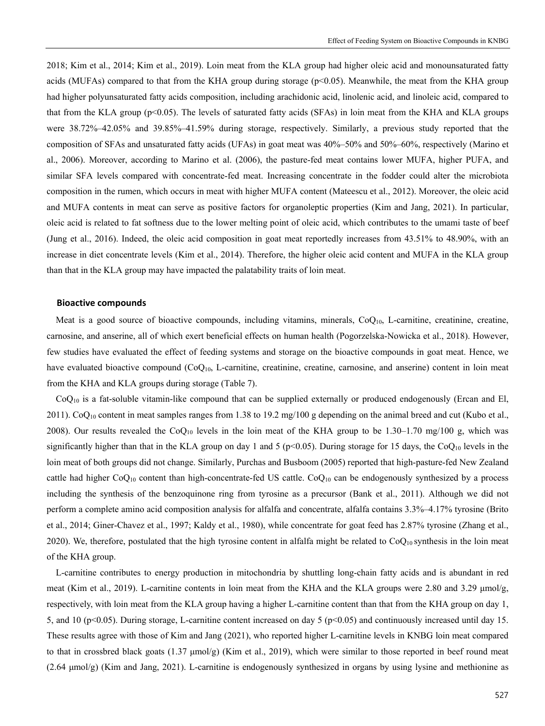2018; Kim et al., 2014; Kim et al., 2019). Loin meat from the KLA group had higher oleic acid and monounsaturated fatty acids (MUFAs) compared to that from the KHA group during storage (p<0.05). Meanwhile, the meat from the KHA group had higher polyunsaturated fatty acids composition, including arachidonic acid, linolenic acid, and linoleic acid, compared to that from the KLA group (p<0.05). The levels of saturated fatty acids (SFAs) in loin meat from the KHA and KLA groups were 38.72%–42.05% and 39.85%–41.59% during storage, respectively. Similarly, a previous study reported that the composition of SFAs and unsaturated fatty acids (UFAs) in goat meat was 40%–50% and 50%–60%, respectively (Marino et al., 2006). Moreover, according to Marino et al. (2006), the pasture-fed meat contains lower MUFA, higher PUFA, and similar SFA levels compared with concentrate-fed meat. Increasing concentrate in the fodder could alter the microbiota composition in the rumen, which occurs in meat with higher MUFA content (Mateescu et al., 2012). Moreover, the oleic acid and MUFA contents in meat can serve as positive factors for organoleptic properties (Kim and Jang, 2021). In particular, oleic acid is related to fat softness due to the lower melting point of oleic acid, which contributes to the umami taste of beef (Jung et al., 2016). Indeed, the oleic acid composition in goat meat reportedly increases from 43.51% to 48.90%, with an increase in diet concentrate levels (Kim et al., 2014). Therefore, the higher oleic acid content and MUFA in the KLA group than that in the KLA group may have impacted the palatability traits of loin meat.

#### **Bioactive compounds**

Meat is a good source of bioactive compounds, including vitamins, minerals,  $CoQ<sub>10</sub>$ , L-carnitine, creatinine, creatine, carnosine, and anserine, all of which exert beneficial effects on human health (Pogorzelska-Nowicka et al., 2018). However, few studies have evaluated the effect of feeding systems and storage on the bioactive compounds in goat meat. Hence, we have evaluated bioactive compound  $(CoO<sub>10</sub>, L-carnitine, creationine, creationine, carnosine, and anserine) content in loin meat$ from the KHA and KLA groups during storage (Table 7).

 $CoQ<sub>10</sub>$  is a fat-soluble vitamin-like compound that can be supplied externally or produced endogenously (Ercan and El, 2011). Co $Q_{10}$  content in meat samples ranges from 1.38 to 19.2 mg/100 g depending on the animal breed and cut (Kubo et al., 2008). Our results revealed the CoQ<sub>10</sub> levels in the loin meat of the KHA group to be 1.30–1.70 mg/100 g, which was significantly higher than that in the KLA group on day 1 and 5 ( $p<0.05$ ). During storage for 15 days, the CoQ<sub>10</sub> levels in the loin meat of both groups did not change. Similarly, Purchas and Busboom (2005) reported that high-pasture-fed New Zealand cattle had higher  $CoQ_{10}$  content than high-concentrate-fed US cattle.  $CoQ_{10}$  can be endogenously synthesized by a process including the synthesis of the benzoquinone ring from tyrosine as a precursor (Bank et al., 2011). Although we did not perform a complete amino acid composition analysis for alfalfa and concentrate, alfalfa contains 3.3%–4.17% tyrosine (Brito et al., 2014; Giner-Chavez et al., 1997; Kaldy et al., 1980), while concentrate for goat feed has 2.87% tyrosine (Zhang et al., 2020). We, therefore, postulated that the high tyrosine content in alfalfa might be related to  $CoQ_{10}$  synthesis in the loin meat of the KHA group.

L-carnitine contributes to energy production in mitochondria by shuttling long-chain fatty acids and is abundant in red meat (Kim et al., 2019). L-carnitine contents in loin meat from the KHA and the KLA groups were 2.80 and 3.29 μmol/g, respectively, with loin meat from the KLA group having a higher L-carnitine content than that from the KHA group on day 1, 5, and 10 (p<0.05). During storage, L-carnitine content increased on day 5 (p<0.05) and continuously increased until day 15. These results agree with those of Kim and Jang (2021), who reported higher L-carnitine levels in KNBG loin meat compared to that in crossbred black goats (1.37 μmol/g) (Kim et al., 2019), which were similar to those reported in beef round meat (2.64 μmol/g) (Kim and Jang, 2021). L-carnitine is endogenously synthesized in organs by using lysine and methionine as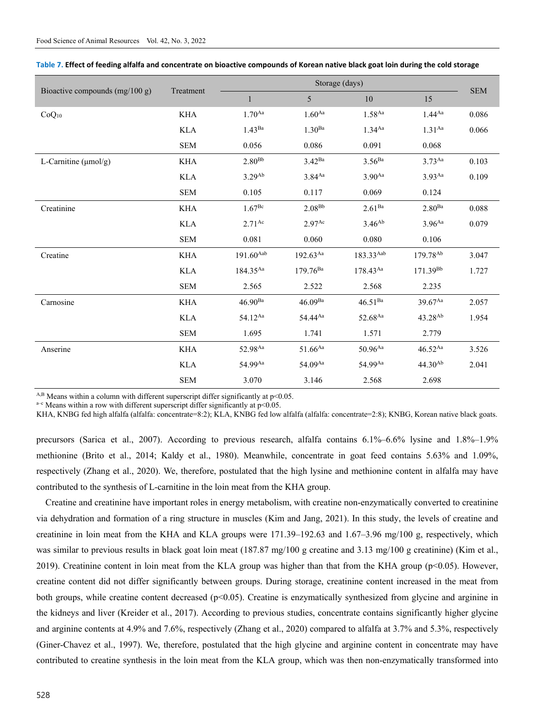| Bioactive compounds (mg/100 g) | Treatment  | Storage (days)     |                    |                    |                      |            |
|--------------------------------|------------|--------------------|--------------------|--------------------|----------------------|------------|
|                                |            | $\mathbf{1}$       | 5                  | 10                 | 15                   | <b>SEM</b> |
| $CoQ_{10}$                     | <b>KHA</b> | $1.70^{Aa}$        | $1.60^{\rm Aa}$    | 1.58 <sup>Aa</sup> | $1.44^{Aa}$          | 0.086      |
|                                | <b>KLA</b> | $1.43^{Ba}$        | 1.30 <sup>Ba</sup> | $1.34^{Aa}$        | $1.31^{Aa}$          | 0.066      |
|                                | <b>SEM</b> | 0.056              | 0.086              | 0.091              | 0.068                |            |
| L-Carnitine $(\mu mol/g)$      | <b>KHA</b> | $2.80^{Bb}$        | $3.42^{Ba}$        | 3.56 <sup>Ba</sup> | $3.73^{Aa}$          | 0.103      |
|                                | <b>KLA</b> | $3.29^{Ab}$        | $3.84^{Aa}$        | 3.90 <sup>Aa</sup> | $3.93$ <sup>Aa</sup> | 0.109      |
|                                | <b>SEM</b> | 0.105              | 0.117              | 0.069              | 0.124                |            |
| Creatinine                     | <b>KHA</b> | 1.67 <sup>Be</sup> | $2.08^{Bb}$        | $2.61^{Ba}$        | $2.80^{Ba}$          | 0.088      |
|                                | <b>KLA</b> | $2.71^{Ac}$        | 2.97 <sup>Ac</sup> | $3.46^{Ab}$        | $3.96^{Aa}$          | 0.079      |
|                                | <b>SEM</b> | 0.081              | 0.060              | 0.080              | 0.106                |            |
| Creatine                       | <b>KHA</b> | $191.60^{Aab}$     | $192.63^{Aa}$      | 183.33Aab          | 179.78 <sup>Ab</sup> | 3.047      |
|                                | <b>KLA</b> | 184.35Aa           | $179.76^{Ba}$      | 178.43Aa           | 171.39 <sup>Bb</sup> | 1.727      |
|                                | <b>SEM</b> | 2.565              | 2.522              | 2.568              | 2.235                |            |
| Carnosine                      | <b>KHA</b> | $46.90^{Ba}$       | $46.09^{Ba}$       | $46.51^{Ba}$       | 39.67Aa              | 2.057      |
|                                | <b>KLA</b> | 54.12Aa            | 54.44Aa            | 52.68Aa            | $43.28^{Ab}$         | 1.954      |
|                                | <b>SEM</b> | 1.695              | 1.741              | 1.571              | 2.779                |            |
| Anserine                       | <b>KHA</b> | 52.98Aa            | $51.66^{Aa}$       | $50.96^{Aa}$       | $46.52^{Aa}$         | 3.526      |
|                                | <b>KLA</b> | 54.99Aa            | 54.09Aa            | 54.99Aa            | $44.30^{Ab}$         | 2.041      |
|                                | <b>SEM</b> | 3.070              | 3.146              | 2.568              | 2.698                |            |

| Table 7. Effect of feeding alfalfa and concentrate on bioactive compounds of Korean native black goat loin during the cold storage |  |  |
|------------------------------------------------------------------------------------------------------------------------------------|--|--|
|                                                                                                                                    |  |  |

<sup>A,B</sup> Means within a column with different superscript differ significantly at p<0.05. <sup>a-c</sup> Means within a row with different superscript differ significantly at p<0.05.

KHA, KNBG fed high alfalfa (alfalfa: concentrate=8:2); KLA, KNBG fed low alfalfa (alfalfa: concentrate=2:8); KNBG, Korean native black goats.

precursors (Sarica et al., 2007). According to previous research, alfalfa contains 6.1%–6.6% lysine and 1.8%–1.9% methionine (Brito et al., 2014; Kaldy et al., 1980). Meanwhile, concentrate in goat feed contains 5.63% and 1.09%, respectively (Zhang et al., 2020). We, therefore, postulated that the high lysine and methionine content in alfalfa may have contributed to the synthesis of L-carnitine in the loin meat from the KHA group.

Creatine and creatinine have important roles in energy metabolism, with creatine non-enzymatically converted to creatinine via dehydration and formation of a ring structure in muscles (Kim and Jang, 2021). In this study, the levels of creatine and creatinine in loin meat from the KHA and KLA groups were 171.39–192.63 and 1.67–3.96 mg/100 g, respectively, which was similar to previous results in black goat loin meat (187.87 mg/100 g creatine and 3.13 mg/100 g creatinine) (Kim et al., 2019). Creatinine content in loin meat from the KLA group was higher than that from the KHA group (p<0.05). However, creatine content did not differ significantly between groups. During storage, creatinine content increased in the meat from both groups, while creatine content decreased (p<0.05). Creatine is enzymatically synthesized from glycine and arginine in the kidneys and liver (Kreider et al., 2017). According to previous studies, concentrate contains significantly higher glycine and arginine contents at 4.9% and 7.6%, respectively (Zhang et al., 2020) compared to alfalfa at 3.7% and 5.3%, respectively (Giner‐Chavez et al., 1997). We, therefore, postulated that the high glycine and arginine content in concentrate may have contributed to creatine synthesis in the loin meat from the KLA group, which was then non-enzymatically transformed into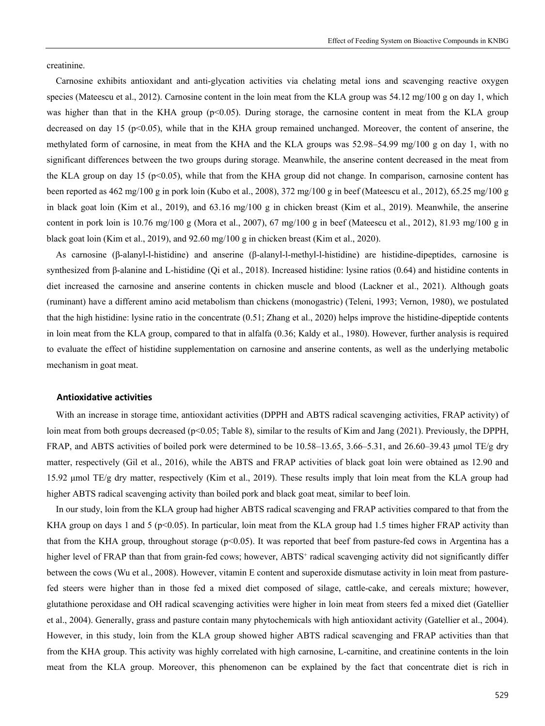creatinine.

Carnosine exhibits antioxidant and anti-glycation activities via chelating metal ions and scavenging reactive oxygen species (Mateescu et al., 2012). Carnosine content in the loin meat from the KLA group was 54.12 mg/100 g on day 1, which was higher than that in the KHA group ( $p<0.05$ ). During storage, the carnosine content in meat from the KLA group decreased on day 15 (p<0.05), while that in the KHA group remained unchanged. Moreover, the content of anserine, the methylated form of carnosine, in meat from the KHA and the KLA groups was 52.98–54.99 mg/100 g on day 1, with no significant differences between the two groups during storage. Meanwhile, the anserine content decreased in the meat from the KLA group on day 15 ( $p<0.05$ ), while that from the KHA group did not change. In comparison, carnosine content has been reported as 462 mg/100 g in pork loin (Kubo et al., 2008), 372 mg/100 g in beef (Mateescu et al., 2012), 65.25 mg/100 g in black goat loin (Kim et al., 2019), and 63.16 mg/100 g in chicken breast (Kim et al., 2019). Meanwhile, the anserine content in pork loin is 10.76 mg/100 g (Mora et al., 2007), 67 mg/100 g in beef (Mateescu et al., 2012), 81.93 mg/100 g in black goat loin (Kim et al., 2019), and 92.60 mg/100 g in chicken breast (Kim et al., 2020).

As carnosine (β-alanyl-l-histidine) and anserine (β-alanyl-l-methyl-l-histidine) are histidine-dipeptides, carnosine is synthesized from β-alanine and L-histidine (Qi et al., 2018). Increased histidine: lysine ratios (0.64) and histidine contents in diet increased the carnosine and anserine contents in chicken muscle and blood (Lackner et al., 2021). Although goats (ruminant) have a different amino acid metabolism than chickens (monogastric) (Teleni, 1993; Vernon, 1980), we postulated that the high histidine: lysine ratio in the concentrate (0.51; Zhang et al., 2020) helps improve the histidine-dipeptide contents in loin meat from the KLA group, compared to that in alfalfa (0.36; Kaldy et al., 1980). However, further analysis is required to evaluate the effect of histidine supplementation on carnosine and anserine contents, as well as the underlying metabolic mechanism in goat meat.

#### **Antioxidative activities**

With an increase in storage time, antioxidant activities (DPPH and ABTS radical scavenging activities, FRAP activity) of loin meat from both groups decreased (p<0.05; Table 8), similar to the results of Kim and Jang (2021). Previously, the DPPH, FRAP, and ABTS activities of boiled pork were determined to be 10.58–13.65, 3.66–5.31, and 26.60–39.43 μmol TE/g dry matter, respectively (Gil et al., 2016), while the ABTS and FRAP activities of black goat loin were obtained as 12.90 and 15.92 μmol TE/g dry matter, respectively (Kim et al., 2019). These results imply that loin meat from the KLA group had higher ABTS radical scavenging activity than boiled pork and black goat meat, similar to beef loin.

In our study, loin from the KLA group had higher ABTS radical scavenging and FRAP activities compared to that from the KHA group on days 1 and 5 ( $p<0.05$ ). In particular, loin meat from the KLA group had 1.5 times higher FRAP activity than that from the KHA group, throughout storage (p<0.05). It was reported that beef from pasture-fed cows in Argentina has a higher level of FRAP than that from grain-fed cows; however, ABTS<sup>+</sup> radical scavenging activity did not significantly differ between the cows (Wu et al., 2008). However, vitamin E content and superoxide dismutase activity in loin meat from pasturefed steers were higher than in those fed a mixed diet composed of silage, cattle-cake, and cereals mixture; however, glutathione peroxidase and OH radical scavenging activities were higher in loin meat from steers fed a mixed diet (Gatellier et al., 2004). Generally, grass and pasture contain many phytochemicals with high antioxidant activity (Gatellier et al., 2004). However, in this study, loin from the KLA group showed higher ABTS radical scavenging and FRAP activities than that from the KHA group. This activity was highly correlated with high carnosine, L-carnitine, and creatinine contents in the loin meat from the KLA group. Moreover, this phenomenon can be explained by the fact that concentrate diet is rich in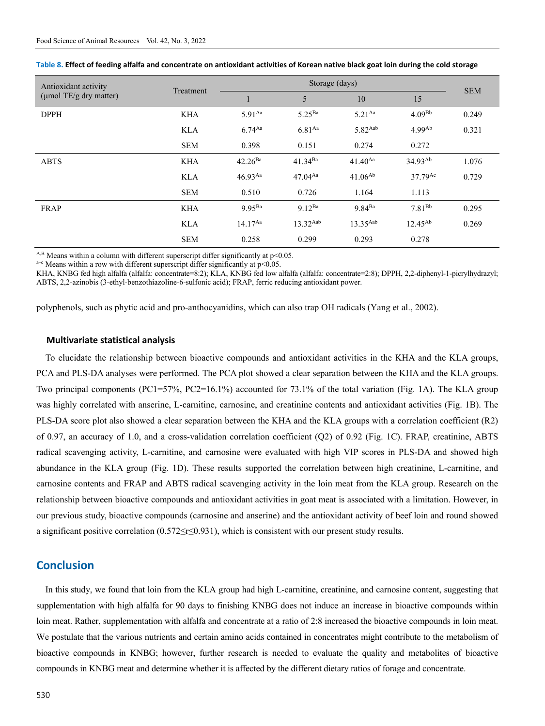| Antioxidant activity         |            | Storage (days) |                    |               |                       |            |
|------------------------------|------------|----------------|--------------------|---------------|-----------------------|------------|
| ( $\mu$ mol TE/g dry matter) | Treatment  | ш              | 5                  | 10            | 15                    | <b>SEM</b> |
| <b>DPPH</b>                  | <b>KHA</b> | $5.91^{Aa}$    | 5.25 <sup>Ba</sup> | $5.21^{Aa}$   | $4.09^{Bb}$           | 0.249      |
|                              | <b>KLA</b> | $6.74^{Aa}$    | $6.81^{Aa}$        | $5.82$ Aab    | 4.99 <sup>Ab</sup>    | 0.321      |
|                              | <b>SEM</b> | 0.398          | 0.151              | 0.274         | 0.272                 |            |
| <b>ABTS</b>                  | <b>KHA</b> | $42.26^{Ba}$   | $41.34^{Ba}$       | $41.40^{Aa}$  | $34.93^{Ab}$          | 1.076      |
|                              | <b>KLA</b> | $46.93^{Aa}$   | $47.04^{Aa}$       | $41.06^{Ab}$  | $37.79$ <sup>Ac</sup> | 0.729      |
|                              | <b>SEM</b> | 0.510          | 0.726              | 1.164         | 1.113                 |            |
| <b>FRAP</b>                  | <b>KHA</b> | $9.95^{Ba}$    | $9.12^{Ba}$        | $9.84^{Ba}$   | $7.81^{Bb}$           | 0.295      |
|                              | <b>KLA</b> | $14.17^{Aa}$   | $13.32^{Aab}$      | $13.35^{Aab}$ | $12.45^{Ab}$          | 0.269      |
|                              | <b>SEM</b> | 0.258          | 0.299              | 0.293         | 0.278                 |            |

| Table 8. Effect of feeding alfalfa and concentrate on antioxidant activities of Korean native black goat loin during the cold storage |  |  |  |
|---------------------------------------------------------------------------------------------------------------------------------------|--|--|--|
|---------------------------------------------------------------------------------------------------------------------------------------|--|--|--|

<sup>A,B</sup> Means within a column with different superscript differ significantly at p<0.05. <sup>a-c</sup> Means within a row with different superscript differ significantly at p<0.05.

KHA, KNBG fed high alfalfa (alfalfa: concentrate=8:2); KLA, KNBG fed low alfalfa (alfalfa: concentrate=2:8); DPPH, 2,2-diphenyl-1-picrylhydrazyl; ABTS, 2,2-azinobis (3-ethyl-benzothiazoline-6-sulfonic acid); FRAP, ferric reducing antioxidant power.

polyphenols, such as phytic acid and pro-anthocyanidins, which can also trap OH radicals (Yang et al., 2002).

#### **Multivariate statistical analysis**

To elucidate the relationship between bioactive compounds and antioxidant activities in the KHA and the KLA groups, PCA and PLS-DA analyses were performed. The PCA plot showed a clear separation between the KHA and the KLA groups. Two principal components (PC1=57%, PC2=16.1%) accounted for 73.1% of the total variation (Fig. 1A). The KLA group was highly correlated with anserine, L-carnitine, carnosine, and creatinine contents and antioxidant activities (Fig. 1B). The PLS-DA score plot also showed a clear separation between the KHA and the KLA groups with a correlation coefficient (R2) of 0.97, an accuracy of 1.0, and a cross-validation correlation coefficient (Q2) of 0.92 (Fig. 1C). FRAP, creatinine, ABTS radical scavenging activity, L-carnitine, and carnosine were evaluated with high VIP scores in PLS-DA and showed high abundance in the KLA group (Fig. 1D). These results supported the correlation between high creatinine, L-carnitine, and carnosine contents and FRAP and ABTS radical scavenging activity in the loin meat from the KLA group. Research on the relationship between bioactive compounds and antioxidant activities in goat meat is associated with a limitation. However, in our previous study, bioactive compounds (carnosine and anserine) and the antioxidant activity of beef loin and round showed a significant positive correlation (0.572≤r≤0.931), which is consistent with our present study results.

### **Conclusion**

In this study, we found that loin from the KLA group had high L-carnitine, creatinine, and carnosine content, suggesting that supplementation with high alfalfa for 90 days to finishing KNBG does not induce an increase in bioactive compounds within loin meat. Rather, supplementation with alfalfa and concentrate at a ratio of 2:8 increased the bioactive compounds in loin meat. We postulate that the various nutrients and certain amino acids contained in concentrates might contribute to the metabolism of bioactive compounds in KNBG; however, further research is needed to evaluate the quality and metabolites of bioactive compounds in KNBG meat and determine whether it is affected by the different dietary ratios of forage and concentrate.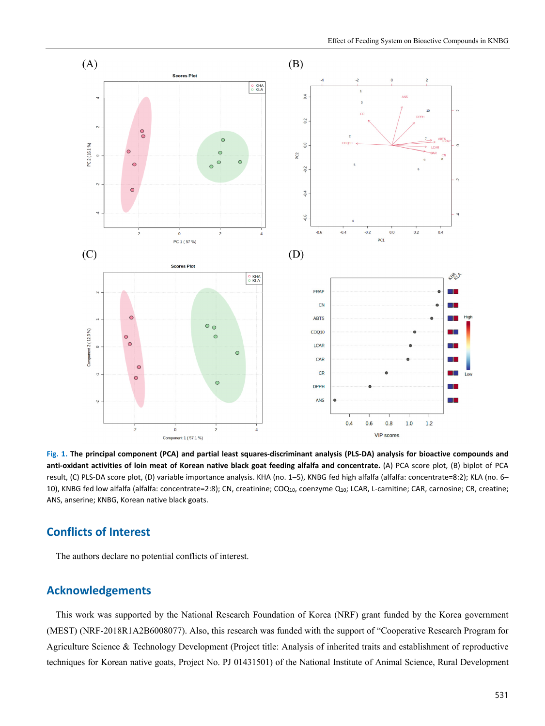

**Fig. 1. The principal component (PCA) and partial least squares-discriminant analysis (PLS-DA) analysis for bioactive compounds and**  anti-oxidant activities of loin meat of Korean native black goat feeding alfalfa and concentrate. (A) PCA score plot, (B) biplot of PCA result, (C) PLS-DA score plot, (D) variable importance analysis. KHA (no. 1–5), KNBG fed high alfalfa (alfalfa: concentrate=8:2); KLA (no. 6– 10), KNBG fed low alfalfa (alfalfa: concentrate=2:8); CN, creatinine; COQ<sub>10</sub>, coenzyme Q<sub>10</sub>; LCAR, L-carnitine; CAR, carnosine; CR, creatine; ANS, anserine; KNBG, Korean native black goats.

# **Conflicts of Interest**

The authors declare no potential conflicts of interest.

# **Acknowledgements**

This work was supported by the National Research Foundation of Korea (NRF) grant funded by the Korea government (MEST) (NRF-2018R1A2B6008077). Also, this research was funded with the support of "Cooperative Research Program for Agriculture Science & Technology Development (Project title: Analysis of inherited traits and establishment of reproductive techniques for Korean native goats, Project No. PJ 01431501) of the National Institute of Animal Science, Rural Development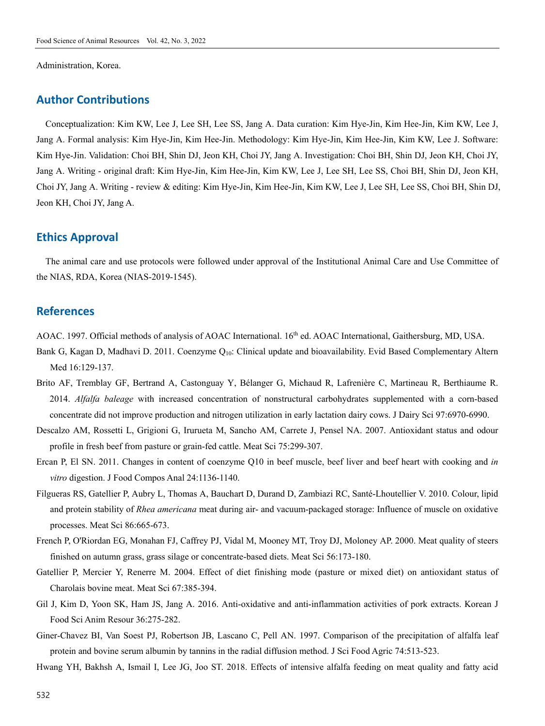Administration, Korea.

## **Author Contributions**

Conceptualization: Kim KW, Lee J, Lee SH, Lee SS, Jang A. Data curation: Kim Hye-Jin, Kim Hee-Jin, Kim KW, Lee J, Jang A. Formal analysis: Kim Hye-Jin, Kim Hee-Jin. Methodology: Kim Hye-Jin, Kim Hee-Jin, Kim KW, Lee J. Software: Kim Hye-Jin. Validation: Choi BH, Shin DJ, Jeon KH, Choi JY, Jang A. Investigation: Choi BH, Shin DJ, Jeon KH, Choi JY, Jang A. Writing - original draft: Kim Hye-Jin, Kim Hee-Jin, Kim KW, Lee J, Lee SH, Lee SS, Choi BH, Shin DJ, Jeon KH, Choi JY, Jang A. Writing - review & editing: Kim Hye-Jin, Kim Hee-Jin, Kim KW, Lee J, Lee SH, Lee SS, Choi BH, Shin DJ, Jeon KH, Choi JY, Jang A.

### **Ethics Approval**

The animal care and use protocols were followed under approval of the Institutional Animal Care and Use Committee of the NIAS, RDA, Korea (NIAS-2019-1545).

# **References**

AOAC. 1997. Official methods of analysis of AOAC International. 16<sup>th</sup> ed. AOAC International, Gaithersburg, MD, USA.

- Bank G, Kagan D, Madhavi D. 2011. Coenzyme Q<sub>10</sub>: Clinical update and bioavailability. Evid Based Complementary Altern Med 16:129-137.
- Brito AF, Tremblay GF, Bertrand A, Castonguay Y, Bélanger G, Michaud R, Lafrenière C, Martineau R, Berthiaume R. 2014. *Alfalfa baleage* with increased concentration of nonstructural carbohydrates supplemented with a corn-based concentrate did not improve production and nitrogen utilization in early lactation dairy cows. J Dairy Sci 97:6970-6990.
- Descalzo AM, Rossetti L, Grigioni G, Irurueta M, Sancho AM, Carrete J, Pensel NA. 2007. Antioxidant status and odour profile in fresh beef from pasture or grain-fed cattle. Meat Sci 75:299-307.
- Ercan P, El SN. 2011. Changes in content of coenzyme Q10 in beef muscle, beef liver and beef heart with cooking and *in vitro* digestion. J Food Compos Anal 24:1136-1140.
- Filgueras RS, Gatellier P, Aubry L, Thomas A, Bauchart D, Durand D, Zambiazi RC, Santé-Lhoutellier V. 2010. Colour, lipid and protein stability of *Rhea americana* meat during air- and vacuum-packaged storage: Influence of muscle on oxidative processes. Meat Sci 86:665-673.
- French P, O'Riordan EG, Monahan FJ, Caffrey PJ, Vidal M, Mooney MT, Troy DJ, Moloney AP. 2000. Meat quality of steers finished on autumn grass, grass silage or concentrate-based diets. Meat Sci 56:173-180.
- Gatellier P, Mercier Y, Renerre M. 2004. Effect of diet finishing mode (pasture or mixed diet) on antioxidant status of Charolais bovine meat. Meat Sci 67:385-394.
- Gil J, Kim D, Yoon SK, Ham JS, Jang A. 2016. Anti-oxidative and anti-inflammation activities of pork extracts. Korean J Food Sci Anim Resour 36:275-282.
- Giner-Chavez BI, Van Soest PJ, Robertson JB, Lascano C, Pell AN. 1997. Comparison of the precipitation of alfalfa leaf protein and bovine serum albumin by tannins in the radial diffusion method. J Sci Food Agric 74:513-523.
- Hwang YH, Bakhsh A, Ismail I, Lee JG, Joo ST. 2018. Effects of intensive alfalfa feeding on meat quality and fatty acid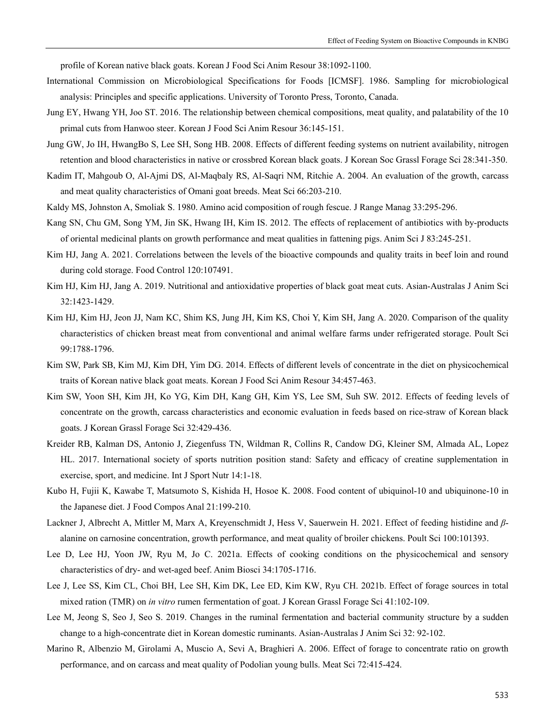profile of Korean native black goats. Korean J Food Sci Anim Resour 38:1092-1100.

- International Commission on Microbiological Specifications for Foods [ICMSF]. 1986. Sampling for microbiological analysis: Principles and specific applications. University of Toronto Press, Toronto, Canada.
- Jung EY, Hwang YH, Joo ST. 2016. The relationship between chemical compositions, meat quality, and palatability of the 10 primal cuts from Hanwoo steer. Korean J Food Sci Anim Resour 36:145-151.
- Jung GW, Jo IH, HwangBo S, Lee SH, Song HB. 2008. Effects of different feeding systems on nutrient availability, nitrogen retention and blood characteristics in native or crossbred Korean black goats. J Korean Soc Grassl Forage Sci 28:341-350.
- Kadim IT, Mahgoub O, Al-Ajmi DS, Al-Maqbaly RS, Al-Saqri NM, Ritchie A. 2004. An evaluation of the growth, carcass and meat quality characteristics of Omani goat breeds. Meat Sci 66:203-210.
- Kaldy MS, Johnston A, Smoliak S. 1980. Amino acid composition of rough fescue. J Range Manag 33:295-296.
- Kang SN, Chu GM, Song YM, Jin SK, Hwang IH, Kim IS. 2012. The effects of replacement of antibiotics with by-products of oriental medicinal plants on growth performance and meat qualities in fattening pigs. Anim Sci J 83:245-251.
- Kim HJ, Jang A. 2021. Correlations between the levels of the bioactive compounds and quality traits in beef loin and round during cold storage. Food Control 120:107491.
- Kim HJ, Kim HJ, Jang A. 2019. Nutritional and antioxidative properties of black goat meat cuts. Asian-Australas J Anim Sci 32:1423-1429.
- Kim HJ, Kim HJ, Jeon JJ, Nam KC, Shim KS, Jung JH, Kim KS, Choi Y, Kim SH, Jang A. 2020. Comparison of the quality characteristics of chicken breast meat from conventional and animal welfare farms under refrigerated storage. Poult Sci 99:1788-1796.
- Kim SW, Park SB, Kim MJ, Kim DH, Yim DG. 2014. Effects of different levels of concentrate in the diet on physicochemical traits of Korean native black goat meats. Korean J Food Sci Anim Resour 34:457-463.
- Kim SW, Yoon SH, Kim JH, Ko YG, Kim DH, Kang GH, Kim YS, Lee SM, Suh SW. 2012. Effects of feeding levels of concentrate on the growth, carcass characteristics and economic evaluation in feeds based on rice-straw of Korean black goats. J Korean Grassl Forage Sci 32:429-436.
- Kreider RB, Kalman DS, Antonio J, Ziegenfuss TN, Wildman R, Collins R, Candow DG, Kleiner SM, Almada AL, Lopez HL. 2017. International society of sports nutrition position stand: Safety and efficacy of creatine supplementation in exercise, sport, and medicine. Int J Sport Nutr 14:1-18.
- Kubo H, Fujii K, Kawabe T, Matsumoto S, Kishida H, Hosoe K. 2008. Food content of ubiquinol-10 and ubiquinone-10 in the Japanese diet. J Food Compos Anal 21:199-210.
- Lackner J, Albrecht A, Mittler M, Marx A, Kreyenschmidt J, Hess V, Sauerwein H. 2021. Effect of feeding histidine and *β*alanine on carnosine concentration, growth performance, and meat quality of broiler chickens. Poult Sci 100:101393.
- Lee D, Lee HJ, Yoon JW, Ryu M, Jo C. 2021a. Effects of cooking conditions on the physicochemical and sensory characteristics of dry- and wet-aged beef. Anim Biosci 34:1705-1716.
- Lee J, Lee SS, Kim CL, Choi BH, Lee SH, Kim DK, Lee ED, Kim KW, Ryu CH. 2021b. Effect of forage sources in total mixed ration (TMR) on *in vitro* rumen fermentation of goat. J Korean Grassl Forage Sci 41:102-109.
- Lee M, Jeong S, Seo J, Seo S. 2019. Changes in the ruminal fermentation and bacterial community structure by a sudden change to a high-concentrate diet in Korean domestic ruminants. Asian-Australas J Anim Sci 32: 92-102.
- Marino R, Albenzio M, Girolami A, Muscio A, Sevi A, Braghieri A. 2006. Effect of forage to concentrate ratio on growth performance, and on carcass and meat quality of Podolian young bulls. Meat Sci 72:415-424.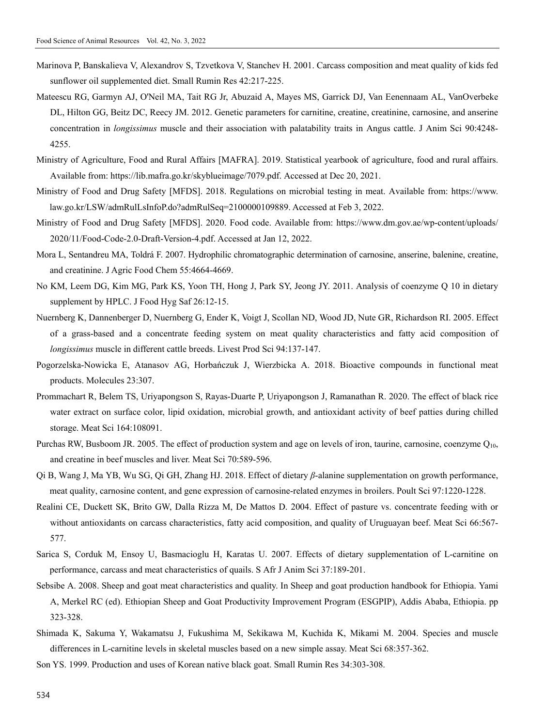- Marinova P, Banskalieva V, Alexandrov S, Tzvetkova V, Stanchev H. 2001. Carcass composition and meat quality of kids fed sunflower oil supplemented diet. Small Rumin Res 42:217-225.
- Mateescu RG, Garmyn AJ, O'Neil MA, Tait RG Jr, Abuzaid A, Mayes MS, Garrick DJ, Van Eenennaam AL, VanOverbeke DL, Hilton GG, Beitz DC, Reecy JM. 2012. Genetic parameters for carnitine, creatine, creatinine, carnosine, and anserine concentration in *longissimus* muscle and their association with palatability traits in Angus cattle. J Anim Sci 90:4248- 4255.
- Ministry of Agriculture, Food and Rural Affairs [MAFRA]. 2019. Statistical yearbook of agriculture, food and rural affairs. Available from: https://lib.mafra.go.kr/skyblueimage/7079.pdf. Accessed at Dec 20, 2021.
- Ministry of Food and Drug Safety [MFDS]. 2018. Regulations on microbial testing in meat. Available from: https://www. law.go.kr/LSW/admRulLsInfoP.do?admRulSeq=2100000109889. Accessed at Feb 3, 2022.
- Ministry of Food and Drug Safety [MFDS]. 2020. Food code. Available from: https://www.dm.gov.ae/wp-content/uploads/ 2020/11/Food-Code-2.0-Draft-Version-4.pdf. Accessed at Jan 12, 2022.
- Mora L, Sentandreu MA, Toldrá F. 2007. Hydrophilic chromatographic determination of carnosine, anserine, balenine, creatine, and creatinine. J Agric Food Chem 55:4664-4669.
- No KM, Leem DG, Kim MG, Park KS, Yoon TH, Hong J, Park SY, Jeong JY. 2011. Analysis of coenzyme Q 10 in dietary supplement by HPLC. J Food Hyg Saf 26:12-15.
- Nuernberg K, Dannenberger D, Nuernberg G, Ender K, Voigt J, Scollan ND, Wood JD, Nute GR, Richardson RI. 2005. Effect of a grass-based and a concentrate feeding system on meat quality characteristics and fatty acid composition of *longissimus* muscle in different cattle breeds. Livest Prod Sci 94:137-147.
- Pogorzelska-Nowicka E, Atanasov AG, Horbańczuk J, Wierzbicka A. 2018. Bioactive compounds in functional meat products. Molecules 23:307.
- Prommachart R, Belem TS, Uriyapongson S, Rayas-Duarte P, Uriyapongson J, Ramanathan R. 2020. The effect of black rice water extract on surface color, lipid oxidation, microbial growth, and antioxidant activity of beef patties during chilled storage. Meat Sci 164:108091.
- Purchas RW, Busboom JR. 2005. The effect of production system and age on levels of iron, taurine, carnosine, coenzyme Q<sub>10</sub>, and creatine in beef muscles and liver. Meat Sci 70:589-596.
- Qi B, Wang J, Ma YB, Wu SG, Qi GH, Zhang HJ. 2018. Effect of dietary *β*-alanine supplementation on growth performance, meat quality, carnosine content, and gene expression of carnosine-related enzymes in broilers. Poult Sci 97:1220-1228.
- Realini CE, Duckett SK, Brito GW, Dalla Rizza M, De Mattos D. 2004. Effect of pasture vs. concentrate feeding with or without antioxidants on carcass characteristics, fatty acid composition, and quality of Uruguayan beef. Meat Sci 66:567-577.
- Sarica S, Corduk M, Ensoy U, Basmacioglu H, Karatas U. 2007. Effects of dietary supplementation of L-carnitine on performance, carcass and meat characteristics of quails. S Afr J Anim Sci 37:189-201.
- Sebsibe A. 2008. Sheep and goat meat characteristics and quality. In Sheep and goat production handbook for Ethiopia. Yami A, Merkel RC (ed). Ethiopian Sheep and Goat Productivity Improvement Program (ESGPIP), Addis Ababa, Ethiopia. pp 323-328.
- Shimada K, Sakuma Y, Wakamatsu J, Fukushima M, Sekikawa M, Kuchida K, Mikami M. 2004. Species and muscle differences in L-carnitine levels in skeletal muscles based on a new simple assay. Meat Sci 68:357-362.
- Son YS. 1999. Production and uses of Korean native black goat. Small Rumin Res 34:303-308.